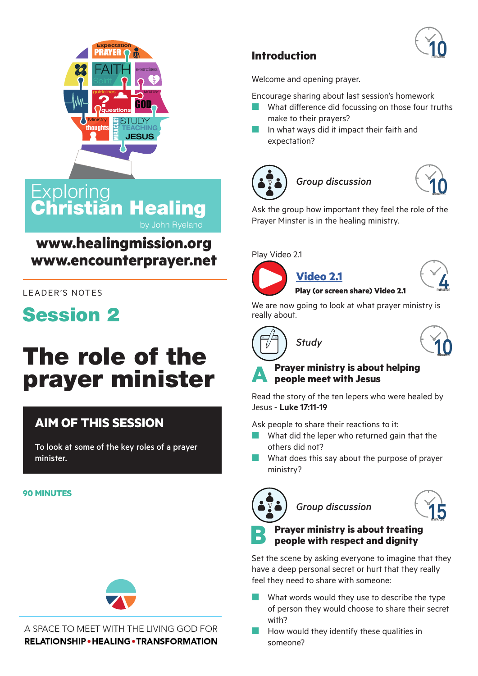



## **Exploring** Christian Healing by John Ryeland

# **www.healingmission.org www.encounterprayer.net**

#### LEADER'S NOTES

# **Session 2**

# The role of the prayer minister

# **AIM OF THIS SESSION**

To look at some of the key roles of a prayer minister.

#### **90 MINUTES**



#### A SPACE TO MEET WITH THE LIVING GOD FOR **RELATIONSHIP • HEALING • TRANSFORMATION**

### **Introduction**

Welcome and opening prayer.

Encourage sharing about last session's homework

- $\blacksquare$  What difference did focussing on those four truths make to their prayers?
- $\blacksquare$  In what ways did it impact their faith and expectation?







Ask the group how important they feel the role of the Prayer Minster is in the healing ministry.

[Play Video 2](https://youtu.be/zksc3k1jk9E).1



**[Vi](https://youtu.be/uWQTj_Q0PDw)[deo 2.1](https://youtu.be/zksc3k1jk9E) Play (or screen share[\) Video 2.1](https://youtu.be/0NxBcLzYwJk)** 



We are now going to look at what prayer ministry is really about.





#### **A Prayer ministry is about helping people meet with Jesus**

Read the story of the ten lepers who were healed by Jesus - **Luke 17:11-19**

Ask people to share their reactions to it:

- $\blacksquare$  What did the leper who returned gain that the others did not?
- What does this say about the purpose of prayer ministry?



 $G$ *roup discussion* 



# **B Prayer ministry is about treating people with respect and dignity**

Set the scene by asking everyone to imagine that they have a deep personal secret or hurt that they really feel they need to share with someone:

- What words would they use to describe the type of person they would choose to share their secret with?
- How would they identify these qualities in someone?